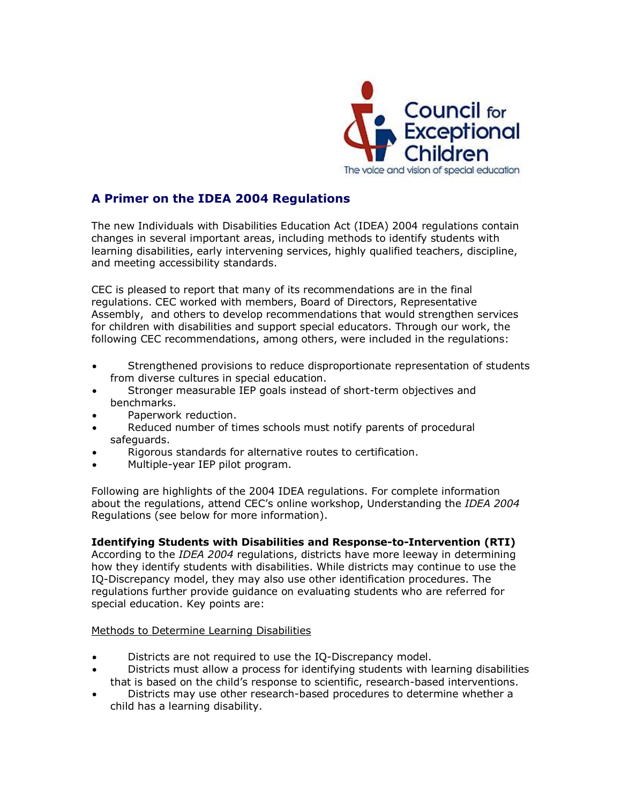

# **A Primer on the IDEA 2004 Regulations**

The new Individuals with Disabilities Education Act (IDEA) 2004 regulations contain changes in several important areas, including methods to identify students with learning disabilities, early intervening services, highly qualified teachers, discipline, and meeting accessibility standards.

CEC is pleased to report that many of its recommendations are in the final regulations. CEC worked with members, Board of Directors, Representative Assembly, and others to develop recommendations that would strengthen services for children with disabilities and support special educators. Through our work, the following CEC recommendations, among others, were included in the regulations:

- · Strengthened provisions to reduce disproportionate representation of students from diverse cultures in special education.
- Stronger measurable IEP goals instead of short-term objectives and benchmarks.
- Paperwork reduction.
- · Reduced number of times schools must notify parents of procedural safeguards.
- Rigorous standards for alternative routes to certification.
- Multiple-year IEP pilot program.

Following are highlights of the 2004 IDEA regulations. For complete information about the regulations, attend CEC's online workshop, Understanding the *IDEA 2004* Regulations (see below for more information).

# **Identifying Students with Disabilities and Response-to-Intervention (RTI)**

According to the *IDEA 2004* regulations, districts have more leeway in determining how they identify students with disabilities. While districts may continue to use the IQ-Discrepancy model, they may also use other identification procedures. The regulations further provide guidance on evaluating students who are referred for special education. Key points are:

# Methods to Determine Learning Disabilities

- Districts are not required to use the IQ-Discrepancy model.
- · Districts must allow a process for identifying students with learning disabilities that is based on the child's response to scientific, research-based interventions.
- Districts may use other research-based procedures to determine whether a child has a learning disability.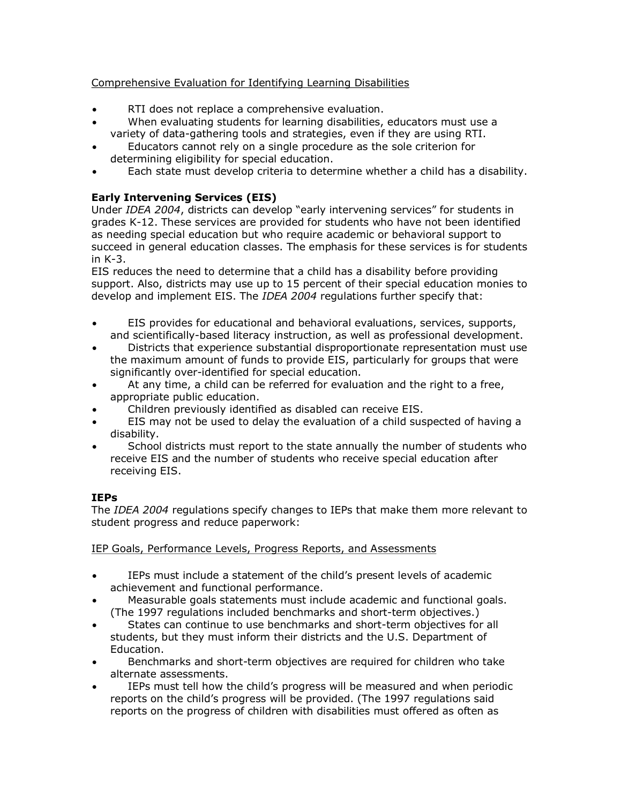# Comprehensive Evaluation for Identifying Learning Disabilities

- RTI does not replace a comprehensive evaluation.
- When evaluating students for learning disabilities, educators must use a variety of data-gathering tools and strategies, even if they are using RTI.
- Educators cannot rely on a single procedure as the sole criterion for determining eligibility for special education.
- · Each state must develop criteria to determine whether a child has a disability.

# **Early Intervening Services (EIS)**

Under *IDEA 2004*, districts can develop "early intervening services" for students in grades K-12. These services are provided for students who have not been identified as needing special education but who require academic or behavioral support to succeed in general education classes. The emphasis for these services is for students in  $K-3$ .

EIS reduces the need to determine that a child has a disability before providing support. Also, districts may use up to 15 percent of their special education monies to develop and implement EIS. The *IDEA 2004* regulations further specify that:

- · EIS provides for educational and behavioral evaluations, services, supports, and scientifically-based literacy instruction, as well as professional development.
- · Districts that experience substantial disproportionate representation must use the maximum amount of funds to provide EIS, particularly for groups that were significantly over-identified for special education.
- · At any time, a child can be referred for evaluation and the right to a free, appropriate public education.
- · Children previously identified as disabled can receive EIS.
- · EIS may not be used to delay the evaluation of a child suspected of having a disability.
- School districts must report to the state annually the number of students who receive EIS and the number of students who receive special education after receiving EIS.

# **IEPs**

The *IDEA 2004* regulations specify changes to IEPs that make them more relevant to student progress and reduce paperwork:

IEP Goals, Performance Levels, Progress Reports, and Assessments

- IEPs must include a statement of the child's present levels of academic achievement and functional performance.
- · Measurable goals statements must include academic and functional goals. (The 1997 regulations included benchmarks and short-term objectives.)
- States can continue to use benchmarks and short-term objectives for all students, but they must inform their districts and the U.S. Department of Education.
- Benchmarks and short-term objectives are required for children who take alternate assessments.
- · IEPs must tell how the child's progress will be measured and when periodic reports on the child's progress will be provided. (The 1997 regulations said reports on the progress of children with disabilities must offered as often as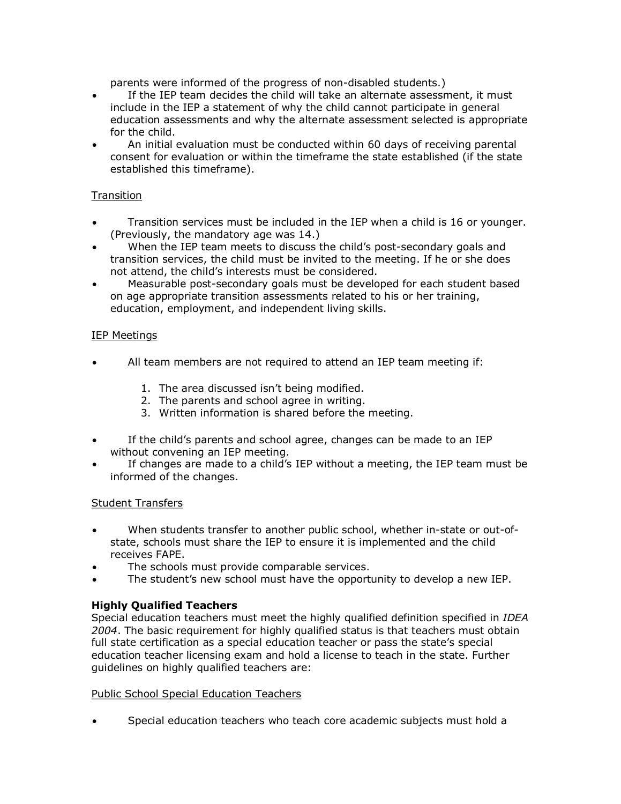parents were informed of the progress of non-disabled students.)

- · If the IEP team decides the child will take an alternate assessment, it must include in the IEP a statement of why the child cannot participate in general education assessments and why the alternate assessment selected is appropriate for the child.
- · An initial evaluation must be conducted within 60 days of receiving parental consent for evaluation or within the timeframe the state established (if the state established this timeframe).

# Transition

- Transition services must be included in the IEP when a child is 16 or younger. (Previously, the mandatory age was 14.)
- When the IEP team meets to discuss the child's post-secondary goals and transition services, the child must be invited to the meeting. If he or she does not attend, the child's interests must be considered.
- Measurable post-secondary goals must be developed for each student based on age appropriate transition assessments related to his or her training, education, employment, and independent living skills.

# IEP Meetings

- All team members are not required to attend an IEP team meeting if:
	- 1. The area discussed isn't being modified.
	- 2. The parents and school agree in writing.
	- 3. Written information is shared before the meeting.
- · If the child's parents and school agree, changes can be made to an IEP without convening an IEP meeting.
- If changes are made to a child's IEP without a meeting, the IEP team must be informed of the changes.

# Student Transfers

- When students transfer to another public school, whether in-state or out-ofstate, schools must share the IEP to ensure it is implemented and the child receives FAPE.
- The schools must provide comparable services.
- The student's new school must have the opportunity to develop a new IEP.

# **Highly Qualified Teachers**

Special education teachers must meet the highly qualified definition specified in *IDEA 2004*. The basic requirement for highly qualified status is that teachers must obtain full state certification as a special education teacher or pass the state's special education teacher licensing exam and hold a license to teach in the state. Further guidelines on highly qualified teachers are:

# Public School Special Education Teachers

Special education teachers who teach core academic subjects must hold a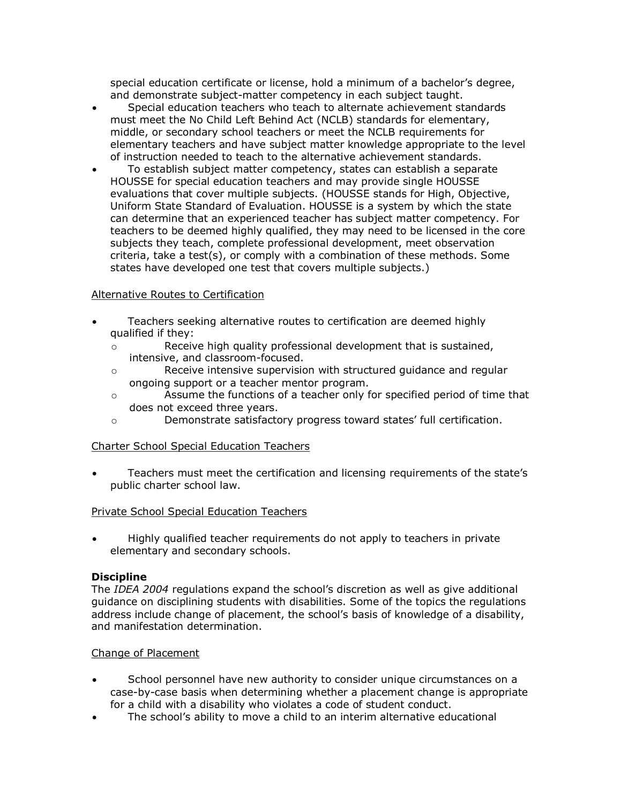special education certificate or license, hold a minimum of a bachelor's degree, and demonstrate subject-matter competency in each subject taught.

- · Special education teachers who teach to alternate achievement standards must meet the No Child Left Behind Act (NCLB) standards for elementary, middle, or secondary school teachers or meet the NCLB requirements for elementary teachers and have subject matter knowledge appropriate to the level of instruction needed to teach to the alternative achievement standards.
- · To establish subject matter competency, states can establish a separate HOUSSE for special education teachers and may provide single HOUSSE evaluations that cover multiple subjects. (HOUSSE stands for High, Objective, Uniform State Standard of Evaluation. HOUSSE is a system by which the state can determine that an experienced teacher has subject matter competency. For teachers to be deemed highly qualified, they may need to be licensed in the core subjects they teach, complete professional development, meet observation criteria, take a test(s), or comply with a combination of these methods. Some states have developed one test that covers multiple subjects.)

#### Alternative Routes to Certification

- Teachers seeking alternative routes to certification are deemed highly qualified if they:
	- o Receive high quality professional development that is sustained, intensive, and classroom-focused.
	- o Receive intensive supervision with structured guidance and regular ongoing support or a teacher mentor program.
	- o Assume the functions of a teacher only for specified period of time that does not exceed three years.
	- o Demonstrate satisfactory progress toward states' full certification.

# Charter School Special Education Teachers

· Teachers must meet the certification and licensing requirements of the state's public charter school law.

#### Private School Special Education Teachers

· Highly qualified teacher requirements do not apply to teachers in private elementary and secondary schools.

#### **Discipline**

The *IDEA 2004* regulations expand the school's discretion as well as give additional guidance on disciplining students with disabilities. Some of the topics the regulations address include change of placement, the school's basis of knowledge of a disability, and manifestation determination.

#### Change of Placement

- School personnel have new authority to consider unique circumstances on a case-by-case basis when determining whether a placement change is appropriate for a child with a disability who violates a code of student conduct.
- The school's ability to move a child to an interim alternative educational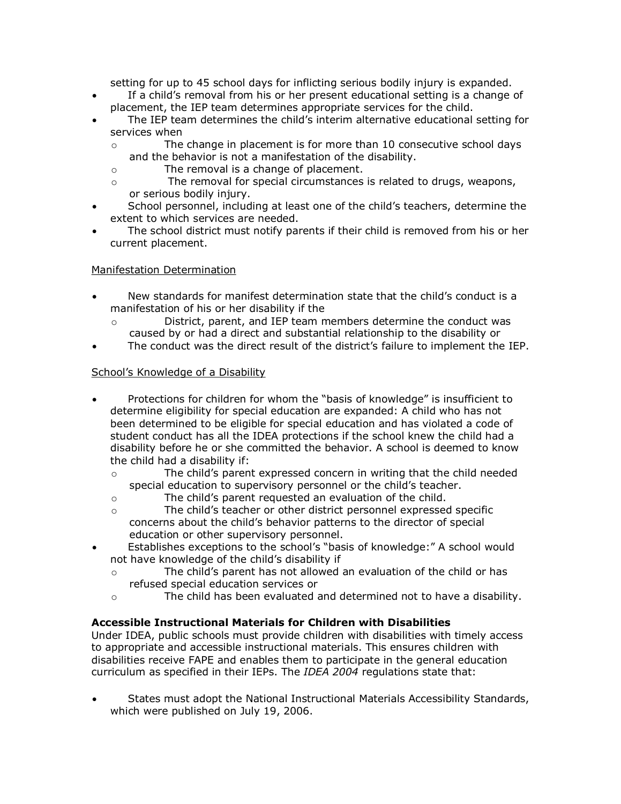setting for up to 45 school days for inflicting serious bodily injury is expanded.

- · If a child's removal from his or her present educational setting is a change of placement, the IEP team determines appropriate services for the child.
- The IEP team determines the child's interim alternative educational setting for services when
	- o The change in placement is for more than 10 consecutive school days and the behavior is not a manifestation of the disability.
	- o The removal is a change of placement.
	- o The removal for special circumstances is related to drugs, weapons, or serious bodily injury.
- School personnel, including at least one of the child's teachers, determine the extent to which services are needed.
- The school district must notify parents if their child is removed from his or her current placement.

# Manifestation Determination

- New standards for manifest determination state that the child's conduct is a manifestation of his or her disability if the
	- o District, parent, and IEP team members determine the conduct was caused by or had a direct and substantial relationship to the disability or
- The conduct was the direct result of the district's failure to implement the IEP.

# School's Knowledge of a Disability

- · Protections for children for whom the "basis of knowledge" is insufficient to determine eligibility for special education are expanded: A child who has not been determined to be eligible for special education and has violated a code of student conduct has all the IDEA protections if the school knew the child had a disability before he or she committed the behavior. A school is deemed to know the child had a disability if:
	- o The child's parent expressed concern in writing that the child needed special education to supervisory personnel or the child's teacher.
	- o The child's parent requested an evaluation of the child.
	- o The child's teacher or other district personnel expressed specific concerns about the child's behavior patterns to the director of special education or other supervisory personnel.
- · Establishes exceptions to the school's "basis of knowledge:" A school would not have knowledge of the child's disability if
	- o The child's parent has not allowed an evaluation of the child or has refused special education services or
	- o The child has been evaluated and determined not to have a disability.

# **Accessible Instructional Materials for Children with Disabilities**

Under IDEA, public schools must provide children with disabilities with timely access to appropriate and accessible instructional materials. This ensures children with disabilities receive FAPE and enables them to participate in the general education curriculum as specified in their IEPs. The *IDEA 2004* regulations state that:

· States must adopt the National Instructional Materials Accessibility Standards, which were published on July 19, 2006.